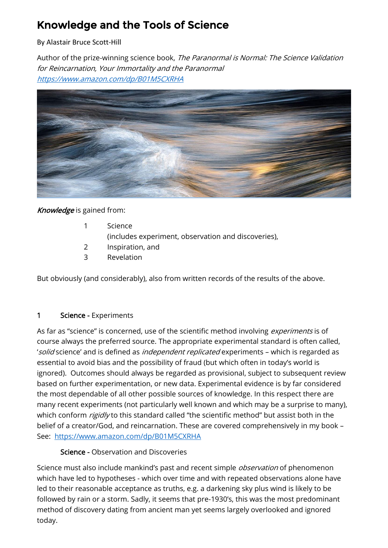# Knowledge and the Tools of Science

By Alastair Bruce Scott-Hill

Author of the prize-winning science book, The Paranormal is Normal: The Science Validation for Reincarnation, Your Immortality and the Paranormal <https://www.amazon.com/dp/B01M5CXRHA>



### Knowledge is gained from:

|  | Science                                             |
|--|-----------------------------------------------------|
|  | (includes experiment, observation and discoveries), |
|  | Inspiration, and                                    |

3 Revelation

But obviously (and considerably), also from written records of the results of the above.

### 1 Science - Experiments

As far as "science" is concerned, use of the scientific method involving *experiments* is of course always the preferred source. The appropriate experimental standard is often called, 'solid science' and is defined as *independent replicated* experiments - which is regarded as essential to avoid bias and the possibility of fraud (but which often in today's world is ignored). Outcomes should always be regarded as provisional, subject to subsequent review based on further experimentation, or new data. Experimental evidence is by far considered the most dependable of all other possible sources of knowledge. In this respect there are many recent experiments (not particularly well known and which may be a surprise to many), which conform rigidly to this standard called "the scientific method" but assist both in the belief of a creator/God, and reincarnation. These are covered comprehensively in my book – See: <https://www.amazon.com/dp/B01M5CXRHA>

#### Science - Observation and Discoveries

Science must also include mankind's past and recent simple *observation* of phenomenon which have led to hypotheses - which over time and with repeated observations alone have led to their reasonable acceptance as truths, e.g. a darkening sky plus wind is likely to be followed by rain or a storm. Sadly, it seems that pre-1930's, this was the most predominant method of discovery dating from ancient man yet seems largely overlooked and ignored today.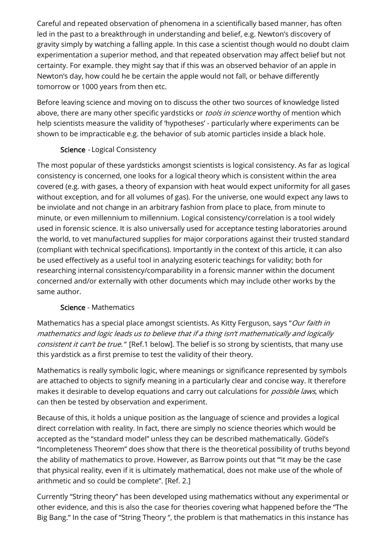Careful and repeated observation of phenomena in a scientifically based manner, has often led in the past to a breakthrough in understanding and belief, e.g. Newton's discovery of gravity simply by watching a falling apple. In this case a scientist though would no doubt claim experimentation a superior method, and that repeated observation may affect belief but not certainty. For example. they might say that if this was an observed behavior of an apple in Newton's day, how could he be certain the apple would not fall, or behave differently tomorrow or 1000 years from then etc.

Before leaving science and moving on to discuss the other two sources of knowledge listed above, there are many other specific yardsticks or *tools in science* worthy of mention which help scientists measure the validity of 'hypotheses' - particularly where experiments can be shown to be impracticable e.g. the behavior of sub atomic particles inside a black hole.

### Science - Logical Consistency

The most popular of these yardsticks amongst scientists is logical consistency. As far as logical consistency is concerned, one looks for a logical theory which is consistent within the area covered (e.g. with gases, a theory of expansion with heat would expect uniformity for all gases without exception, and for all volumes of gas). For the universe, one would expect any laws to be inviolate and not change in an arbitrary fashion from place to place, from minute to minute, or even millennium to millennium. Logical consistency/correlation is a tool widely used in forensic science. It is also universally used for acceptance testing laboratories around the world, to vet manufactured supplies for major corporations against their trusted standard (compliant with technical specifications). Importantly in the context of this article, it can also be used effectively as a useful tool in analyzing esoteric teachings for validity; both for researching internal consistency/comparability in a forensic manner within the document concerned and/or externally with other documents which may include other works by the same author.

### Science - Mathematics

Mathematics has a special place amongst scientists. As Kitty Ferguson, says "Our faith in mathematics and logic leads us to believe that if a thing isn't mathematically and logically consistent it can't be true." [Ref.1 below]. The belief is so strong by scientists, that many use this yardstick as a first premise to test the validity of their theory.

Mathematics is really symbolic logic, where meanings or significance represented by symbols are attached to objects to signify meaning in a particularly clear and concise way. It therefore makes it desirable to develop equations and carry out calculations for *possible laws*, which can then be tested by observation and experiment.

Because of this, it holds a unique position as the language of science and provides a logical direct correlation with reality. In fact, there are simply no science theories which would be accepted as the "standard model" unless they can be described mathematically. Gödel's "Incompleteness Theorem" does show that there is the theoretical possibility of truths beyond the ability of mathematics to prove. However, as Barrow points out that "'it may be the case that physical reality, even if it is ultimately mathematical, does not make use of the whole of arithmetic and so could be complete". [Ref. 2.]

Currently "String theory" has been developed using mathematics without any experimental or other evidence, and this is also the case for theories covering what happened before the "The Big Bang." In the case of "String Theory ", the problem is that mathematics in this instance has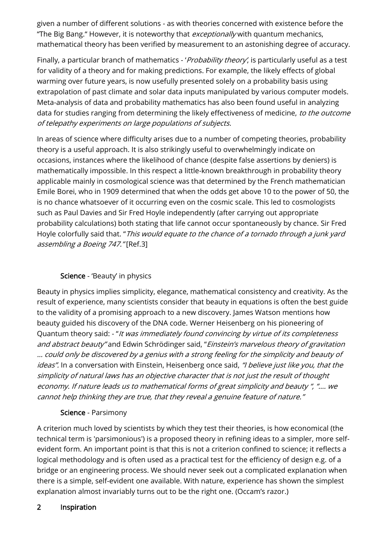given a number of different solutions - as with theories concerned with existence before the "The Big Bang." However, it is noteworthy that *exceptionally* with quantum mechanics, mathematical theory has been verified by measurement to an astonishing degree of accuracy.

Finally, a particular branch of mathematics - 'Probability theory', is particularly useful as a test for validity of a theory and for making predictions. For example, the likely effects of global warming over future years, is now usefully presented solely on a probability basis using extrapolation of past climate and solar data inputs manipulated by various computer models. Meta-analysis of data and probability mathematics has also been found useful in analyzing data for studies ranging from determining the likely effectiveness of medicine, to the outcome of telepathy experiments on large populations of subjects.

In areas of science where difficulty arises due to a number of competing theories, probability theory is a useful approach. It is also strikingly useful to overwhelmingly indicate on occasions, instances where the likelihood of chance (despite false assertions by deniers) is mathematically impossible. In this respect a little-known breakthrough in probability theory applicable mainly in cosmological science was that determined by the French mathematician Emile Borei, who in 1909 determined that when the odds get above 10 to the power of 50, the is no chance whatsoever of it occurring even on the cosmic scale. This led to cosmologists such as Paul Davies and Sir Fred Hoyle independently (after carrying out appropriate probability calculations) both stating that life cannot occur spontaneously by chance. Sir Fred Hoyle colorfully said that. "This would equate to the chance of a tornado through a junk yard assembling a Boeing 747." [Ref.3]

## Science - 'Beauty' in physics

Beauty in physics implies simplicity, elegance, mathematical consistency and creativity. As the result of experience, many scientists consider that beauty in equations is often the best guide to the validity of a promising approach to a new discovery. James Watson mentions how beauty guided his discovery of the DNA code. Werner Heisenberg on his pioneering of Quantum theory said: - "It was immediately found convincing by virtue of its completeness and abstract beauty" and Edwin Schrödinger said, "Einstein's marvelous theory of gravitation … could only be discovered by a genius with a strong feeling for the simplicity and beauty of ideas". In a conversation with Einstein, Heisenberg once said, "I believe just like you, that the simplicity of natural laws has an objective character that is not just the result of thought economy. If nature leads us to mathematical forms of great simplicity and beauty ", "…. we cannot help thinking they are true, that they reveal a genuine feature of nature."

### Science - Parsimony

A criterion much loved by scientists by which they test their theories, is how economical (the technical term is 'parsimonious') is a proposed theory in refining ideas to a simpler, more selfevident form. An important point is that this is not a criterion confined to science; it reflects a logical methodology and is often used as a practical test for the efficiency of design e.g. of a bridge or an engineering process. We should never seek out a complicated explanation when there is a simple, self-evident one available. With nature, experience has shown the simplest explanation almost invariably turns out to be the right one. (Occam's razor.)

### 2 Inspiration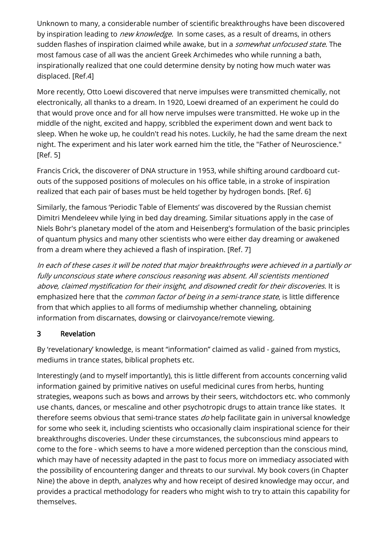Unknown to many, a considerable number of scientific breakthroughs have been discovered by inspiration leading to *new knowledge.* In some cases, as a result of dreams, in others sudden flashes of inspiration claimed while awake, but in a *somewhat unfocused state*. The most famous case of all was the ancient Greek Archimedes who while running a bath, inspirationally realized that one could determine density by noting how much water was displaced. [Ref.4]

More recently, Otto Loewi discovered that nerve impulses were transmitted chemically, not electronically, all thanks to a dream. In 1920, Loewi dreamed of an experiment he could do that would prove once and for all how nerve impulses were transmitted. He woke up in the middle of the night, excited and happy, scribbled the experiment down and went back to sleep. When he woke up, he couldn't read his notes. Luckily, he had the same dream the next night. The experiment and his later work earned him the title, the "Father of Neuroscience." [Ref. 5]

Francis Crick, the discoverer of DNA structure in 1953, while shifting around cardboard cutouts of the supposed positions of molecules on his office table, in a stroke of inspiration realized that each pair of bases must be held together by hydrogen bonds. [Ref. 6]

Similarly, the famous 'Periodic Table of Elements' was discovered by the Russian chemist Dimitri Mendeleev while lying in bed day dreaming. Similar situations apply in the case of Niels Bohr's planetary model of the atom and Heisenberg's formulation of the basic principles of quantum physics and many other scientists who were either day dreaming or awakened from a dream where they achieved a flash of inspiration. [Ref. 7]

In each of these cases it will be noted that major breakthroughs were achieved in a partially or fully unconscious state where conscious reasoning was absent. All scientists mentioned above, claimed mystification for their insight, and disowned credit for their discoveries. It is emphasized here that the *common factor of being in a semi-trance state*, is little difference from that which applies to all forms of mediumship whether channeling, obtaining information from discarnates, dowsing or clairvoyance/remote viewing.

### 3 Revelation

By 'revelationary' knowledge, is meant "information" claimed as valid - gained from mystics, mediums in trance states, biblical prophets etc.

Interestingly (and to myself importantly), this is little different from accounts concerning valid information gained by primitive natives on useful medicinal cures from herbs, hunting strategies, weapons such as bows and arrows by their seers, witchdoctors etc. who commonly use chants, dances, or mescaline and other psychotropic drugs to attain trance like states. It therefore seems obvious that semi-trance states do help facilitate gain in universal knowledge for some who seek it, including scientists who occasionally claim inspirational science for their breakthroughs discoveries. Under these circumstances, the subconscious mind appears to come to the fore - which seems to have a more widened perception than the conscious mind, which may have of necessity adapted in the past to focus more on immediacy associated with the possibility of encountering danger and threats to our survival. My book covers (in Chapter Nine) the above in depth, analyzes why and how receipt of desired knowledge may occur, and provides a practical methodology for readers who might wish to try to attain this capability for themselves.